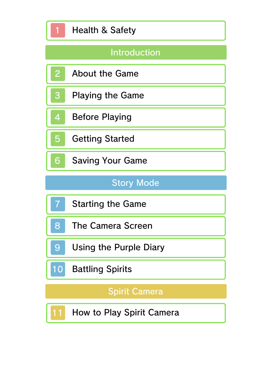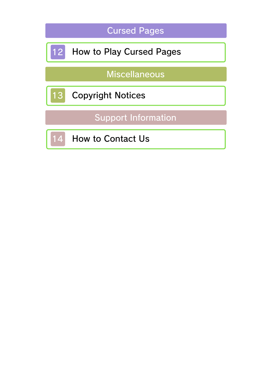|    | <b>Cursed Pages</b>             |
|----|---------------------------------|
| 12 | <b>How to Play Cursed Pages</b> |
|    | <b>Miscellaneous</b>            |
| 13 | <b>Copyright Notices</b>        |
|    | <b>Support Information</b>      |
| 14 | <b>How to Contact Us</b>        |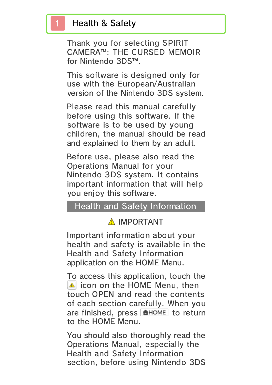### Health & Safety

Thank you for selecting SPIRIT CAMERA™: THE CURSED MEMOIR for Nintendo 3DS™.

This software is designed only for use with the European/Australian version of the Nintendo 3DS system.

Please read this manual carefully before using this software. If the software is to be used by young children, the manual should be read and explained to them by an adult.

Before use, please also read the Operations Manual for your Nintendo 3DS system. It contains important information that will help you enjoy this software.

#### Health and Safety Information

### A IMPORTANT

Important information about your health and safety is available in the Health and Safety Information application on the HOME Menu.

To access this application, touch the **in** icon on the HOME Menu, then touch OPEN and read the contents of each section carefully. When you are finished, press **ALLANG RETAGE** to return to the HOME Menu.

You should also thoroughly read the Operations Manual, especially the Health and Safety Information section, before using Nintendo 3DS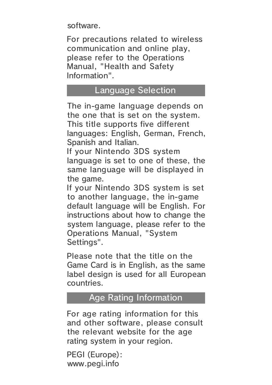software.

For precautions related to wireless communication and online play, please refer to the Operations Manual, "Health and Safety Information".

#### Language Selection

The in-game language depends on the one that is set on the system. This title supports five different languages: English, German, French, Spanish and Italian.

If your Nintendo 3DS system language is set to one of these, the same language will be displayed in the game.

If your Nintendo 3DS system is set to another language, the in-game default language will be English. For instructions about how to change the system language, please refer to the Operations Manual, "System Settings".

Please note that the title on the Game Card is in English, as the same label design is used for all European countries.

#### Age Rating Information

For age rating information for this and other software, please consult the relevant website for the age rating system in your region.

www.pegi.info PEGI (Europe):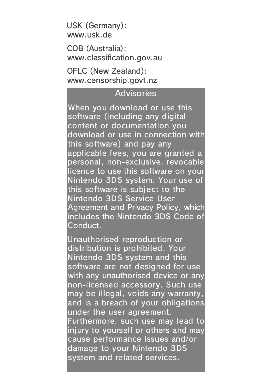USK (Germany): www.usk.de

COB (Australia): www.classification.gov.au

OFLC (New Zealand): www.censorship.govt.nz

#### **Advisories**

When you download or use this software (including any digital content or documentation you download or use in connection with this software) and pay any applicable fees, you are granted a personal, non-exclusive, revocable licence to use this software on your Nintendo 3DS system. Your use of this software is subject to the Nintendo 3DS Service User Agreement and Privacy Policy, which includes the Nintendo 3DS Code of Conduct.

Unauthorised reproduction or distribution is prohibited. Your Nintendo 3DS system and this software are not designed for use with any unauthorised device or any non-licensed accessory. Such use may be illegal, voids any warranty, and is a breach of your obligations under the user agreement. Furthermore, such use may lead to injury to yourself or others and may cause performance issues and/or damage to your Nintendo 3DS system and related services.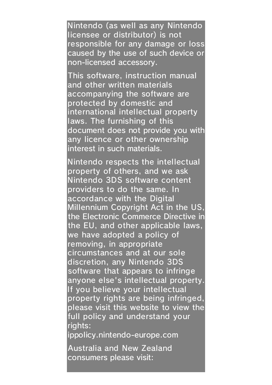Nintendo (as well as any Nintendo licensee or distributor) is not responsible for any damage or loss caused by the use of such device or non-licensed accessory.

This software, instruction manual and other written materials accompanying the software are protected by domestic and international intellectual property laws. The furnishing of this document does not provide you with any licence or other ownership interest in such materials.

Nintendo respects the intellectual property of others, and we ask Nintendo 3DS software content providers to do the same. In accordance with the Digital Millennium Copyright Act in the US, the Electronic Commerce Directive in the EU, and other applicable laws, we have adopted a policy of removing, in appropriate circumstances and at our sole discretion, any Nintendo 3DS software that appears to infringe anyone else's intellectual property. If you believe your intellectual property rights are being infringed, please visit this website to view the full policy and understand your rights: ippolicy.nintendo-europe.com

Australia and New Zealand consumers please visit: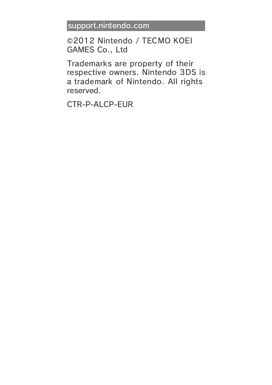support.nintendo.com

©2012 Nintendo / TECMO KOEI GAMES Co., Ltd

Trademarks are property of their respective owners. Nintendo 3DS is a trademark of Nintendo. All rights reserved.

CTR-P-ALCP-EUR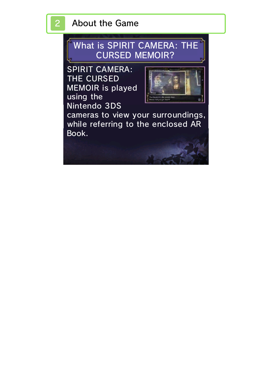# 2 About the Game

CURSED MEMOIR? What is SPIRIT CAMERA: THE

SPIRIT CAMERA: THE CURSED MEMOIR is played using the Nintendo 3DS



cameras to view your surroundings, while referring to the enclosed AR Book.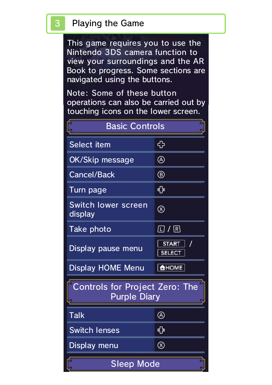### Playing the Game

This game requires you to use the Nintendo 3DS camera function to view your surroundings and the AR Book to progress. Some sections are navigated using the buttons.

Note: Some of these button operations can also be carried out by touching icons on the lower screen.

| <b>Basic Controls</b>                                        |                               |  |  |
|--------------------------------------------------------------|-------------------------------|--|--|
| Select item                                                  | ╬                             |  |  |
| OK/Skip message                                              | $\circledR$                   |  |  |
| <b>Cancel/Back</b>                                           | $^\circledR$                  |  |  |
| Turn page                                                    |                               |  |  |
| <b>Switch lower screen</b><br>display                        | $\otimes$                     |  |  |
| Take photo                                                   | $\square$ / $\square$         |  |  |
| Display pause menu                                           | <b>START</b><br><b>SELECT</b> |  |  |
| <b>Display HOME Menu</b>                                     | <b>AHOME</b>                  |  |  |
| <b>Controls for Project Zero: The</b><br><b>Purple Diary</b> |                               |  |  |
| Talk                                                         | Δ                             |  |  |
| <b>Switch lenses</b>                                         | ∯                             |  |  |
| Display menu                                                 | $\circledR$                   |  |  |
| <b>Sleep Mode</b>                                            |                               |  |  |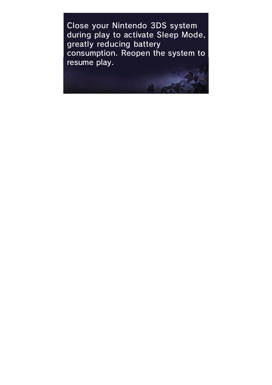Close your Nintendo 3DS system during play to activate Sleep Mode, greatly reducing battery consumption. Reopen the system to resume play.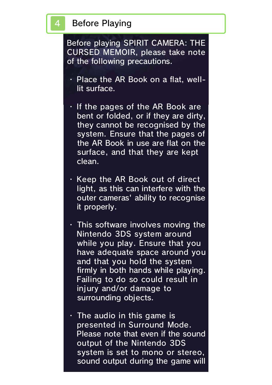### **Before Playing**

Before playing SPIRIT CAMERA: THE CURSED MEMOIR, please take note of the following precautions.

- ・ Place the AR Book on a flat, welllit surface.
- ・ If the pages of the AR Book are bent or folded, or if they are dirty, they cannot be recognised by the system. Ensure that the pages of the AR Book in use are flat on the surface, and that they are kept clean.
- ・ Keep the AR Book out of direct light, as this can interfere with the outer cameras' ability to recognise it properly.
- $\cdot$  This software involves moving the Nintendo 3DS system around while you play. Ensure that you have adequate space around you and that you hold the system firmly in both hands while playing. Failing to do so could result in injury and/or damage to surrounding objects.
- $\cdot$  The audio in this game is presented in Surround Mode. Please note that even if the sound output of the Nintendo 3DS system is set to mono or stereo, sound output during the game will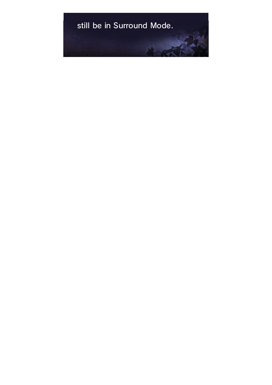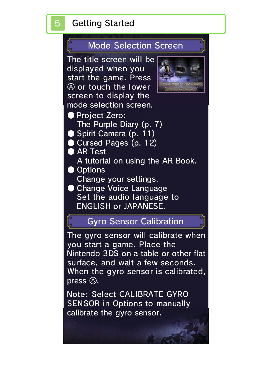# 5 Getting Started

### Mode Selection Screen

The title screen will be displayed when you start the game. Press  $\circledA$  or touch the lower screen to display the mode selection screen.



● Project Zero: The Purple Diary (p. 7) ● Spirit Camera (p. 11) ● Cursed Pages (p. 12) ● AR Test A tutorial on using the AR Book. ● Options Change your settings. ● Change Voice Language Set the audio language to ENGLISH or JAPANESE.

### Gyro Sensor Calibration

The gyro sensor will calibrate when you start a game. Place the Nintendo 3DS on a table or other flat surface, and wait a few seconds. When the gyro sensor is calibrated,  $pres<sub>0</sub>$   $\odot$ .

Note: Select CALIBRATE GYRO SENSOR in Options to manually calibrate the gyro sensor.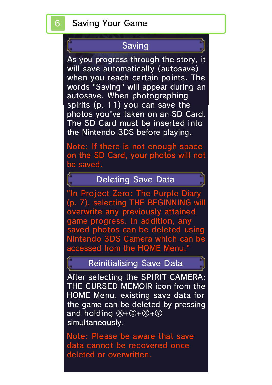### Saving

As you progress through the story, it will save automatically (autosave) when you reach certain points. The words "Saving" will appear during an autosave. When photographing spirits (p. 11) you can save the photos you've taken on an SD Card. The SD Card must be inserted into the Nintendo 3DS before playing.

Note: If there is not enough space on the SD Card, your photos will not be saved.

Deleting Save Data

"In Project Zero: The Purple Diary (p. 7), selecting THE BEGINNING will overwrite any previously attained game progress. In addition, any saved photos can be deleted using Nintendo 3DS Camera which can be accessed from the HOME Menu."

#### Reinitialising Save Data

After selecting the SPIRIT CAMERA: THE CURSED MEMOIR icon from the HOME Menu, existing save data for the game can be deleted by pressing and holding  $(A+B+\mathcal{O}+\mathcal{O})$ simultaneously.

Note: Please be aware that save data cannot be recovered once deleted or overwritten.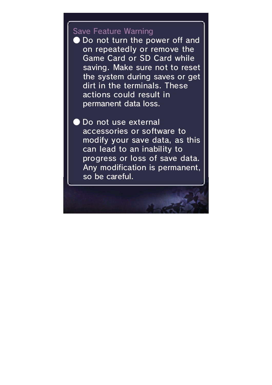#### Save Feature Warning

permanent data loss. actions could result in dirt in the terminals. These the system during saves or get saving. Make sure not to reset Game Card or SD Card while on repeatedly or remove the ● Do not turn the power off and

so be careful. Any modification is permanent, progress or loss of save data. can lead to an inability to modify your save data, as this accessories or software to Do not use external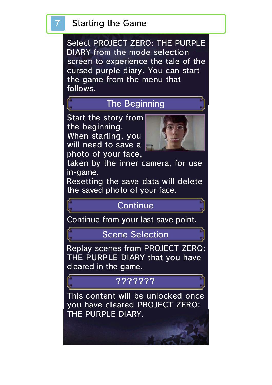# **Starting the Game**

Select PROJECT ZERO: THE PURPLE DIARY from the mode selection screen to experience the tale of the cursed purple diary. You can start the game from the menu that follows.

# The Beginning

Start the story from the beginning. When starting, you will need to save a photo of your face,



taken by the inner camera, for use in-game.

Resetting the save data will delete the saved photo of your face.

### **Continue**

Continue from your last save point.

Scene Selection

Replay scenes from PROJECT ZERO: THE PURPLE DIARY that you have cleared in the game.

### ???????

This content will be unlocked once you have cleared PROJECT ZERO: THE PURPLE DIARY.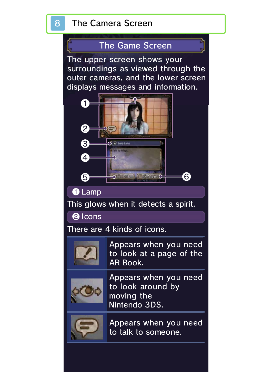# 8 The Camera Screen



The upper screen shows your surroundings as viewed through the outer cameras, and the lower screen displays messages and information.



❶ Lamp

This glows when it detects a spirit.

❷ Icons

There are 4 kinds of icons.



AR Book. to look at a page of the Appears when you need



Nintendo 3DS. moving the to look around by Appears when you need



to talk to someone. Appears when you need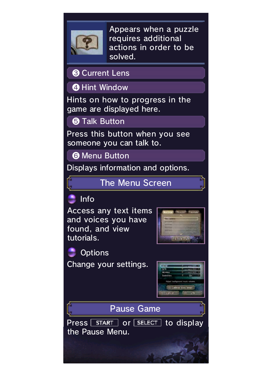

solved. actions in order to be requires additional Appears when a puzzle

❸ Current Lens

**4** Hint Window

Hints on how to progress in the game are displayed here.

**6** Talk Button

Press this button when you see someone you can talk to.

**@ Menu Button** 

Displays information and options.

The Menu Screen



Access any text items and voices you have found, and view tutorials.



Change your settings. **Options** 



Pause Game

Press | START | Or | SELECT | to display the Pause Menu.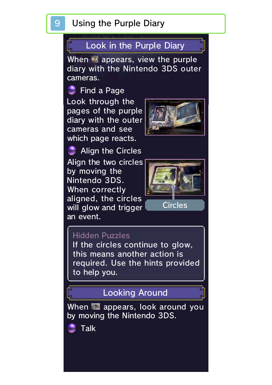#### 9 Using the Purple Diary

### Look in the Purple Diary

When **a** appears, view the purple diary with the Nintendo 3DS outer cameras.

Look through the pages of the purple diary with the outer cameras and see which page reacts. **Find a Page** 



Align the two circles by moving th e Nintendo 3DS . When correctl y aligned, the circle s will glow and trigger an event. Align the Circles



#### Hidden Puzzles

to help you. required. Use the hints provided this means another action is If the circles continue to glow,

# Looking Around

When **a** appears, look around you by moving the Nintendo 3DS.

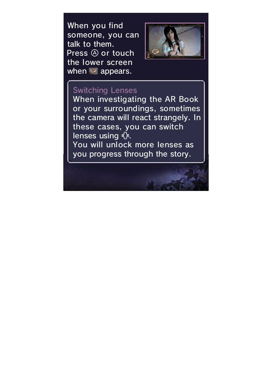When you find someone, you can talk to them. Press  $\circledA$  or touch the lower screen when  $\blacksquare$  appears.



#### Switching Lenses

you progress through the story. You will unlock more lenses as lenses using  $\overline{P}$ . these cases, you can switch the camera will react strangely. In or your surroundings, sometimes When investigating the AR Book

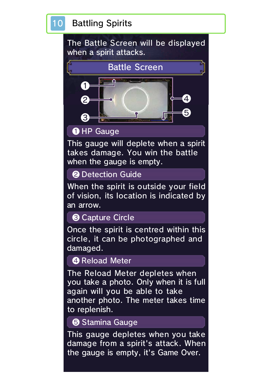# 10 Battling Spirits

The Battle Screen will be displayed when a spirit attacks.



### **O** HP Gauge

This gauge will deplete when a spirit takes damage. You win the battle when the gauge is empty.

#### ❷ Detection Guide

When the spirit is outside your field of vision, its location is indicated by an arrow.

#### ❸ Capture Circle

Once the spirit is centred within this circle, it can be photographed and damaged.

#### **4 Reload Meter**

The Reload Meter depletes when you take a photo. Only when it is full again will you be able to take another photo. The meter takes time to replenish.

#### ❺ Stamina Gauge

This gauge depletes when you take damage from a spirit's attack. When the gauge is empty, it's Game Over.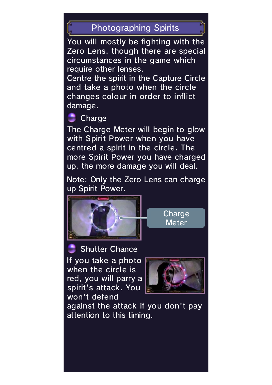# Photographing Spirits

You will mostly be fighting with the Zero Lens, though there are special circumstances in the game which require other lenses.

Centre the spirit in the Capture Circle and take a photo when the circle changes colour in order to inflict damage.

# **Charge**

The Charge Meter will begin to glow with Spirit Power when you have centred a spirit in the circle. The more Spirit Power you have charged up, the more damage you will deal.

Note: Only the Zero Lens can charge up Spirit Power.



**Meter** Charge

Shutter Chance

If you take a photo when the circle is red, you will parry a spirit's attack. You won't defend



against the attack if you don't pay attention to this timing.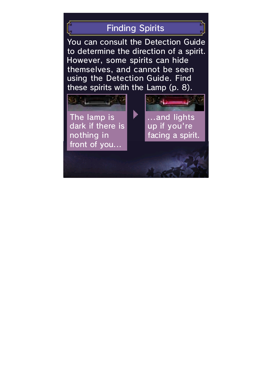# Finding Spirits

You can consult the Detection Guide to determine the direction of a spirit. However, some spirits can hide themselves, and cannot be seen using the Detection Guide. Find these spirits with the Lamp (p. 8).

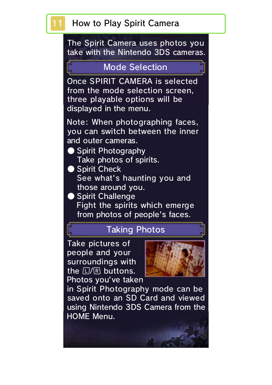### How to Play Spirit Camera

The Spirit Camera uses photos you take with the Nintendo 3DS cameras.

#### Mode Selection

Once SPIRIT CAMERA is selected from the mode selection screen, three playable options will be displayed in the menu.

Note: When photographing faces, you can switch between the inner and outer cameras.

- Spirit Photography Take photos of spirits.
- Spirit Check See what's haunting you and those around you.
- Spirit Challenge Fight the spirits which emerge from photos of people's faces.

### Taking Photos

Take pictures of people and your surroundings with the  $\mathbb{Z}/\mathbb{R}$  buttons. Photos you've taken



in Spirit Photography mode can be saved onto an SD Card and viewed using Nintendo 3DS Camera from the HOME Menu.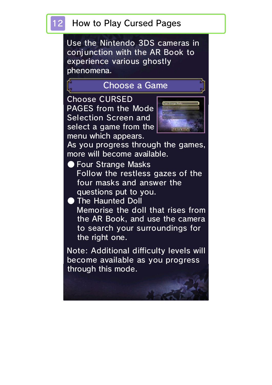Use the Nintendo 3DS cameras in conjunction with the AR Book to experience various ghostly phenomena.

### Choose a Game

Choose CURSED PAGES from the Mode Selection Screen and select a game from the menu which appears.



As you progress through the games, more will become available.

- Four Strange Masks Follow the restless gazes of the four masks and answer the questions put to you.
- The Haunted Doll Memorise the doll that rises from the AR Book, and use the camera to search your surroundings for the right one.

Note: Additional difficulty levels will become available as you progress through this mode.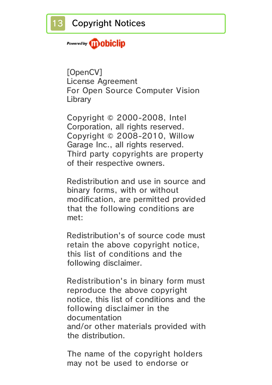### Powered by **iii) obiclip**

[OpenCV] License Agreement For Open Source Computer Vision Library

Copyright © 2000-2008, Intel Corporation, all rights reserved. Copyright © 2008-2010, Willow Garage Inc., all rights reserved. Third party copyrights are property of their respective owners.

Redistribution and use in source and binary forms, with or without modification, are permitted provided that the following conditions are met:

Redistribution's of source code must retain the above copyright notice, this list of conditions and the following disclaimer.

Redistribution's in binary form must reproduce the above copyright notice, this list of conditions and the following disclaimer in the documentation and/or other materials provided with the distribution.

The name of the copyright holders may not be used to endorse or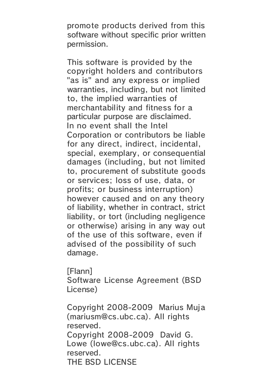promote products derived from this software without specific prior written permission.

This software is provided by the copyright holders and contributors "as is" and any express or implied warranties, including, but not limited to, the implied warranties of merchantability and fitness for a particular purpose are disclaimed. In no event shall the Intel Corporation or contributors be liable for any direct, indirect, incidental, special, exemplary, or consequential damages (including, but not limited to, procurement of substitute goods or services; loss of use, data, or profits; or business interruption) however caused and on any theory of liability, whether in contract, strict liability, or tort (including negligence or otherwise) arising in any way out of the use of this software, even if advised of the possibility of such damage.

[Flann]

Software License Agreement (BSD License)

Copyright 2008-2009 Marius Muja (mariusm@cs.ubc.ca). All rights reserved. Copyright 2008-2009 David G. Lowe (lowe@cs.ubc.ca). All rights reserved.

THE BSD LICENSE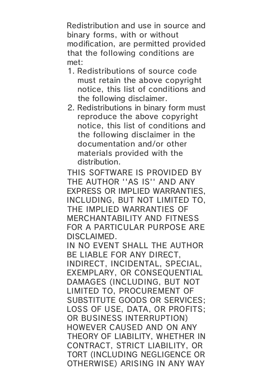Redistribution and use in source and binary forms, with or without modification, are permitted provided that the following conditions are met:

- 1. Redistributions of source code must retain the above copyright notice, this list of conditions and the following disclaimer.
- 2. Redistributions in binary form must reproduce the above copyright notice, this list of conditions and the following disclaimer in the documentation and/or other materials provided with the distribution.

THIS SOFTWARE IS PROVIDED BY THE AUTHOR ''AS IS'' AND ANY EXPRESS OR IMPLIED WARRANTIES, INCLUDING, BUT NOT LIMITED TO, THE IMPLIED WARRANTIES OF MERCHANTABILITY AND FITNESS FOR A PARTICULAR PURPOSE ARE DISCLAIMED.

IN NO EVENT SHALL THE AUTHOR BE LIABLE FOR ANY DIRECT, INDIRECT, INCIDENTAL, SPECIAL, EXEMPLARY, OR CONSEQUENTIAL DAMAGES (INCLUDING, BUT NOT LIMITED TO, PROCUREMENT OF SUBSTITUTE GOODS OR SERVICES; LOSS OF USE, DATA, OR PROFITS; OR BUSINESS INTERRUPTION) HOWEVER CAUSED AND ON ANY THEORY OF LIABILITY, WHETHER IN CONTRACT, STRICT LIABILITY, OR TORT (INCLUDING NEGLIGENCE OR OTHERWISE) ARISING IN ANY WAY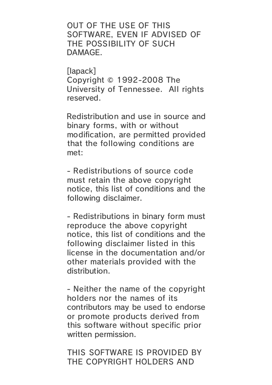OUT OF THE USE OF THIS SOFTWARE, EVEN IF ADVISED OF THE POSSIBILITY OF SUCH DAMAGE.

[lapack] Copyright © 1992-2008 The University of Tennessee. All rights reserved.

Redistribution and use in source and binary forms, with or without modification, are permitted provided that the following conditions are met:

- Redistributions of source code must retain the above copyright notice, this list of conditions and the following disclaimer.

- Redistributions in binary form must reproduce the above copyright notice, this list of conditions and the following disclaimer listed in this license in the documentation and/or other materials provided with the distribution.

- Neither the name of the copyright holders nor the names of its contributors may be used to endorse or promote products derived from this software without specific prior written permission.

THIS SOFTWARE IS PROVIDED BY THE COPYRIGHT HOLDERS AND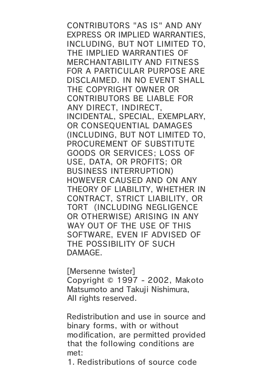CONTRIBUTORS "AS IS" AND ANY EXPRESS OR IMPLIED WARRANTIES, INCLUDING, BUT NOT LIMITED TO, THE IMPLIED WARRANTIES OF MERCHANTABILITY AND FITNESS FOR A PARTICULAR PURPOSE ARE DISCLAIMED. IN NO EVENT SHALL THE COPYRIGHT OWNER OR CONTRIBUTORS BE LIABLE FOR ANY DIRECT, INDIRECT, INCIDENTAL, SPECIAL, EXEMPLARY, OR CONSEQUENTIAL DAMAGES (INCLUDING, BUT NOT LIMITED TO, PROCUREMENT OF SUBSTITUTE GOODS OR SERVICES; LOSS OF USE, DATA, OR PROFITS; OR BUSINESS INTERRUPTION) HOWEVER CAUSED AND ON ANY THEORY OF LIABILITY, WHETHER IN CONTRACT, STRICT LIABILITY, OR TORT (INCLUDING NEGLIGENCE OR OTHERWISE) ARISING IN ANY WAY OUT OF THE USE OF THIS SOFTWARE, EVEN IF ADVISED OF THE POSSIBILITY OF SUCH DAMAGE.

[Mersenne twister] Copyright © 1997 - 2002, Makoto Matsumoto and Takuji Nishimura, All rights reserved.

Redistribution and use in source and binary forms, with or without modification, are permitted provided that the following conditions are met:

1. Redistributions of source code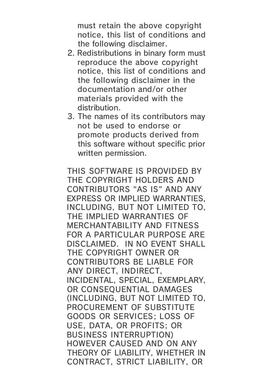must retain the above copyright notice, this list of conditions and the following disclaimer.

- 2. Redistributions in binary form must reproduce the above copyright notice, this list of conditions and the following disclaimer in the documentation and/or other materials provided with the distribution.
- 3. The names of its contributors may not be used to endorse or promote products derived from this software without specific prior written permission.

THIS SOFTWARE IS PROVIDED BY THE COPYRIGHT HOLDERS AND CONTRIBUTORS "AS IS" AND ANY EXPRESS OR IMPLIED WARRANTIES, INCLUDING, BUT NOT LIMITED TO, THE IMPLIED WARRANTIES OF MERCHANTABILITY AND FITNESS FOR A PARTICULAR PURPOSE ARE DISCLAIMED. IN NO EVENT SHALL THE COPYRIGHT OWNER OR CONTRIBUTORS BE LIABLE FOR ANY DIRECT, INDIRECT, INCIDENTAL, SPECIAL, EXEMPLARY, OR CONSEQUENTIAL DAMAGES (INCLUDING, BUT NOT LIMITED TO, PROCUREMENT OF SUBSTITUTE GOODS OR SERVICES; LOSS OF USE, DATA, OR PROFITS; OR BUSINESS INTERRUPTION) HOWEVER CAUSED AND ON ANY THEORY OF LIABILITY, WHETHER IN CONTRACT, STRICT LIABILITY, OR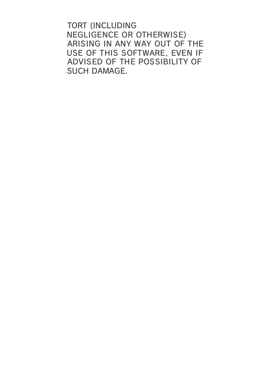TORT (INCLUDING NEGLIGENCE OR OTHERWISE) ARISING IN ANY WAY OUT OF THE USE OF THIS SOFTWARE, EVEN IF ADVISED OF THE POSSIBILITY OF SUCH DAMAGE.